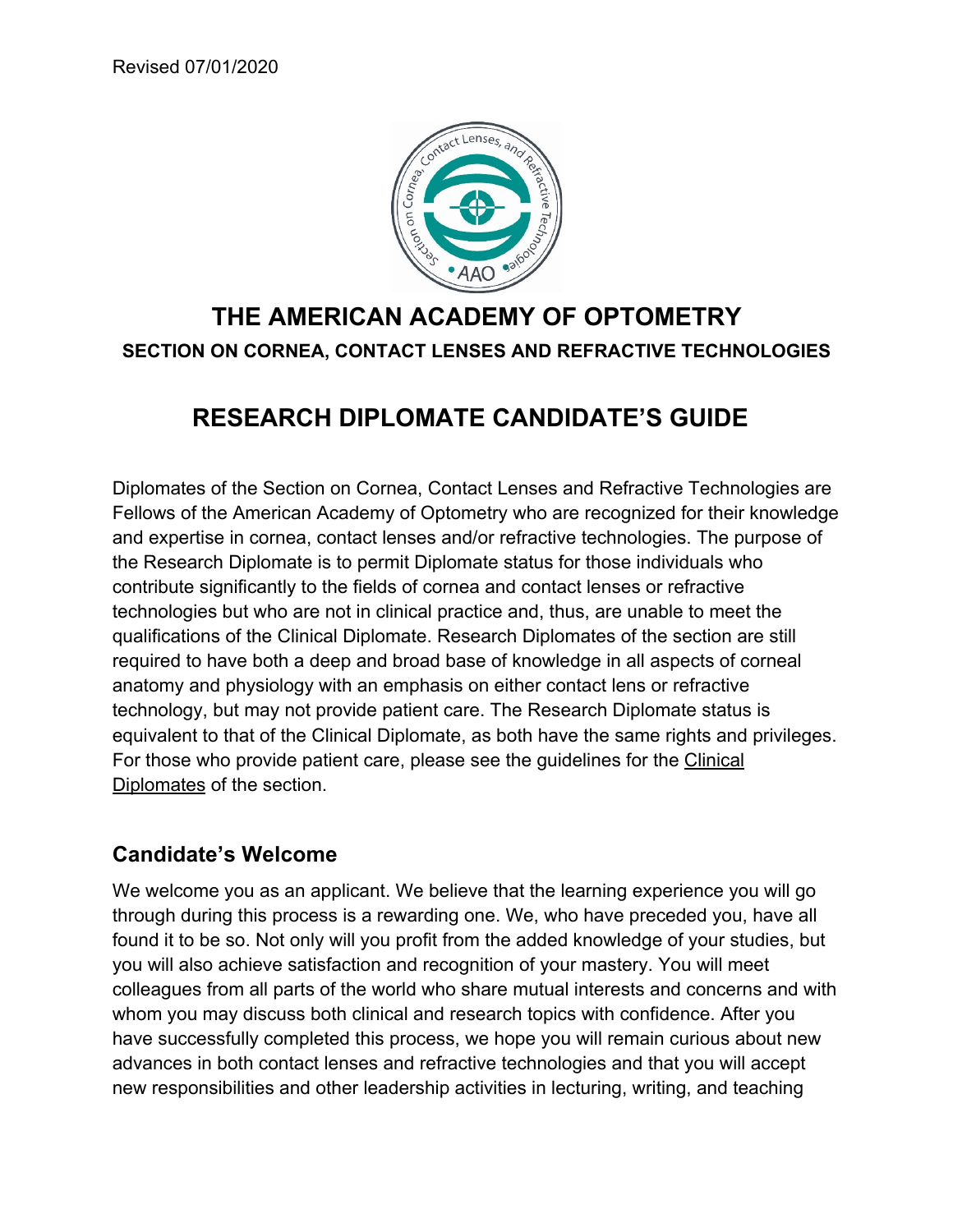

# **THE AMERICAN ACADEMY OF OPTOMETRY SECTION ON CORNEA, CONTACT LENSES AND REFRACTIVE TECHNOLOGIES**

# **RESEARCH DIPLOMATE CANDIDATE'S GUIDE**

Diplomates of the Section on Cornea, Contact Lenses and Refractive Technologies are Fellows of the American Academy of Optometry who are recognized for their knowledge and expertise in cornea, contact lenses and/or refractive technologies. The purpose of the Research Diplomate is to permit Diplomate status for those individuals who contribute significantly to the fields of cornea and contact lenses or refractive technologies but who are not in clinical practice and, thus, are unable to meet the qualifications of the Clinical Diplomate. Research Diplomates of the section are still required to have both a deep and broad base of knowledge in all aspects of corneal anatomy and physiology with an emphasis on either contact lens or refractive technology, but may not provide patient care. The Research Diplomate status is equivalent to that of the Clinical Diplomate, as both have the same rights and privileges. For those who provide patient care, please see the guidelines for the Clinical Diplomates of the section.

### **Candidate's Welcome**

We welcome you as an applicant. We believe that the learning experience you will go through during this process is a rewarding one. We, who have preceded you, have all found it to be so. Not only will you profit from the added knowledge of your studies, but you will also achieve satisfaction and recognition of your mastery. You will meet colleagues from all parts of the world who share mutual interests and concerns and with whom you may discuss both clinical and research topics with confidence. After you have successfully completed this process, we hope you will remain curious about new advances in both contact lenses and refractive technologies and that you will accept new responsibilities and other leadership activities in lecturing, writing, and teaching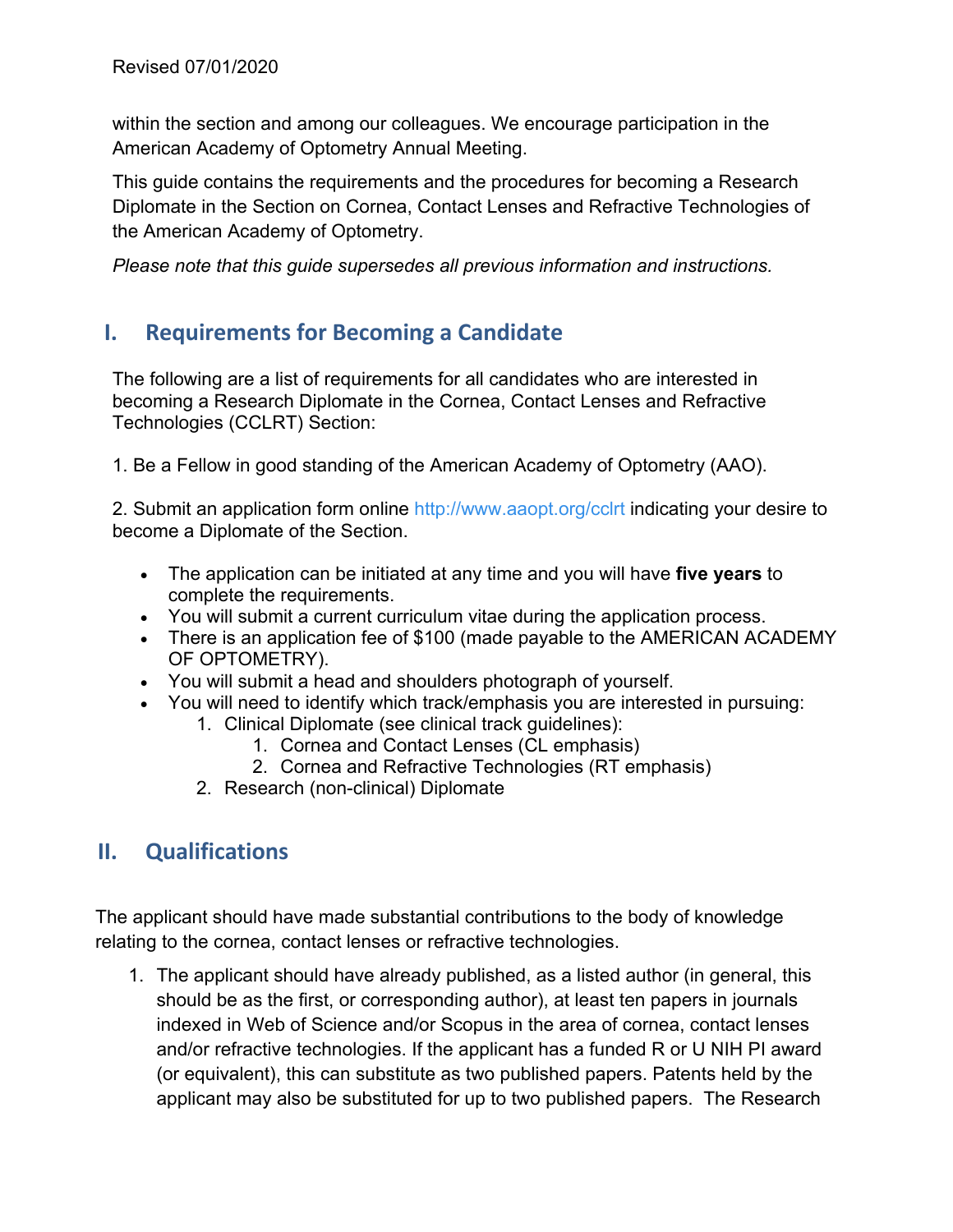within the section and among our colleagues. We encourage participation in the American Academy of Optometry Annual Meeting.

This guide contains the requirements and the procedures for becoming a Research Diplomate in the Section on Cornea, Contact Lenses and Refractive Technologies of the American Academy of Optometry.

*Please note that this guide supersedes all previous information and instructions.* 

### **I. Requirements for Becoming a Candidate**

The following are a list of requirements for all candidates who are interested in becoming a Research Diplomate in the Cornea, Contact Lenses and Refractive Technologies (CCLRT) Section:

1. Be a Fellow in good standing of the American Academy of Optometry (AAO).

2. Submit an application form online http://www.aaopt.org/cclrt indicating your desire to become a Diplomate of the Section.

- The application can be initiated at any time and you will have **five years** to complete the requirements.
- You will submit a current curriculum vitae during the application process.
- There is an application fee of \$100 (made payable to the AMERICAN ACADEMY OF OPTOMETRY).
- You will submit a head and shoulders photograph of yourself.
- You will need to identify which track/emphasis you are interested in pursuing:
	- 1. Clinical Diplomate (see clinical track guidelines):
		- 1. Cornea and Contact Lenses (CL emphasis)
		- 2. Cornea and Refractive Technologies (RT emphasis)
	- 2. Research (non-clinical) Diplomate

## **II. Qualifications**

The applicant should have made substantial contributions to the body of knowledge relating to the cornea, contact lenses or refractive technologies.

1. The applicant should have already published, as a listed author (in general, this should be as the first, or corresponding author), at least ten papers in journals indexed in Web of Science and/or Scopus in the area of cornea, contact lenses and/or refractive technologies. If the applicant has a funded R or U NIH PI award (or equivalent), this can substitute as two published papers. Patents held by the applicant may also be substituted for up to two published papers. The Research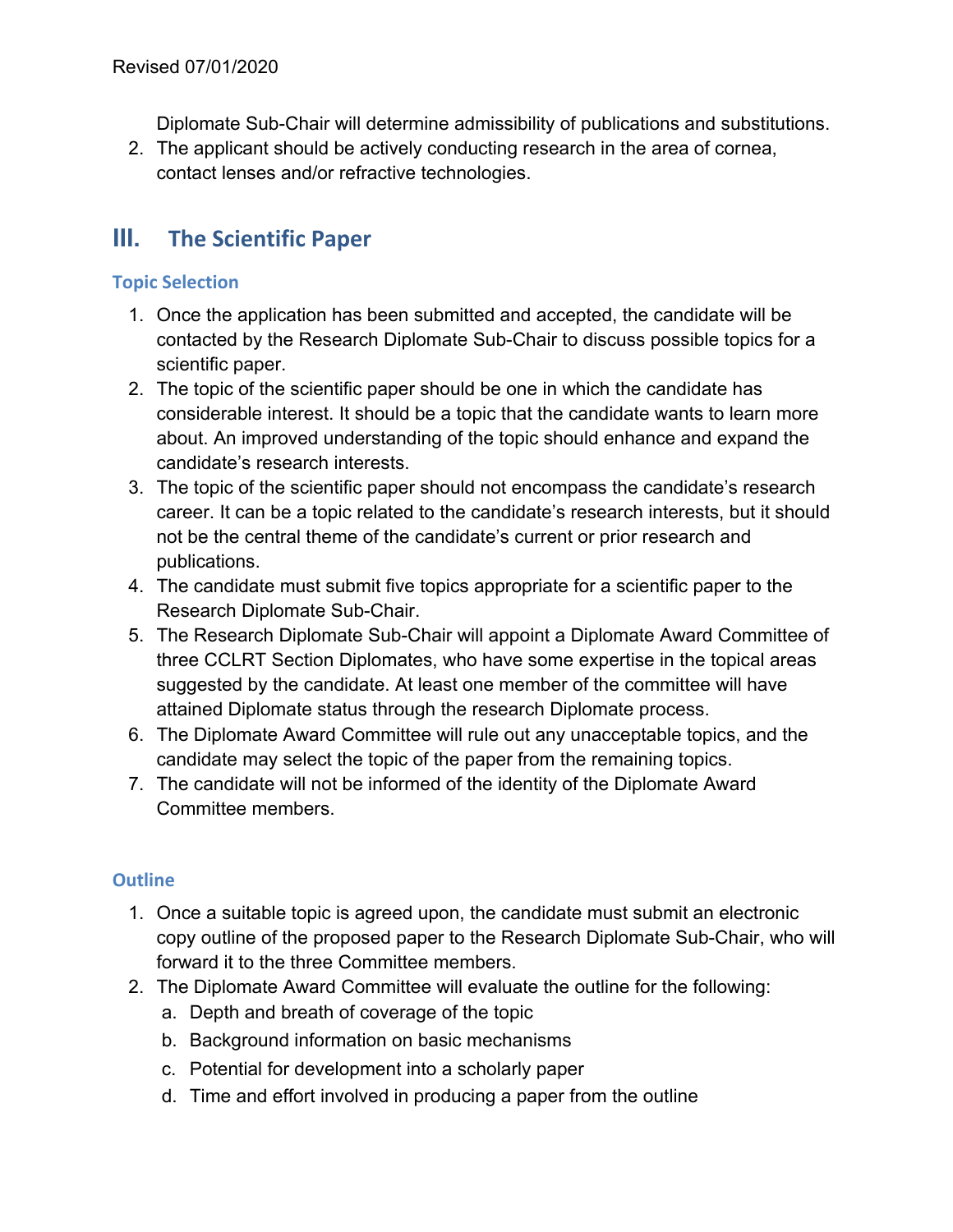Diplomate Sub-Chair will determine admissibility of publications and substitutions.

2. The applicant should be actively conducting research in the area of cornea, contact lenses and/or refractive technologies.

## **III. The Scientific Paper**

#### **Topic Selection**

- 1. Once the application has been submitted and accepted, the candidate will be contacted by the Research Diplomate Sub-Chair to discuss possible topics for a scientific paper.
- 2. The topic of the scientific paper should be one in which the candidate has considerable interest. It should be a topic that the candidate wants to learn more about. An improved understanding of the topic should enhance and expand the candidate's research interests.
- 3. The topic of the scientific paper should not encompass the candidate's research career. It can be a topic related to the candidate's research interests, but it should not be the central theme of the candidate's current or prior research and publications.
- 4. The candidate must submit five topics appropriate for a scientific paper to the Research Diplomate Sub-Chair.
- 5. The Research Diplomate Sub-Chair will appoint a Diplomate Award Committee of three CCLRT Section Diplomates, who have some expertise in the topical areas suggested by the candidate. At least one member of the committee will have attained Diplomate status through the research Diplomate process.
- 6. The Diplomate Award Committee will rule out any unacceptable topics, and the candidate may select the topic of the paper from the remaining topics.
- 7. The candidate will not be informed of the identity of the Diplomate Award Committee members.

#### **Outline**

- 1. Once a suitable topic is agreed upon, the candidate must submit an electronic copy outline of the proposed paper to the Research Diplomate Sub-Chair, who will forward it to the three Committee members.
- 2. The Diplomate Award Committee will evaluate the outline for the following:
	- a. Depth and breath of coverage of the topic
	- b. Background information on basic mechanisms
	- c. Potential for development into a scholarly paper
	- d. Time and effort involved in producing a paper from the outline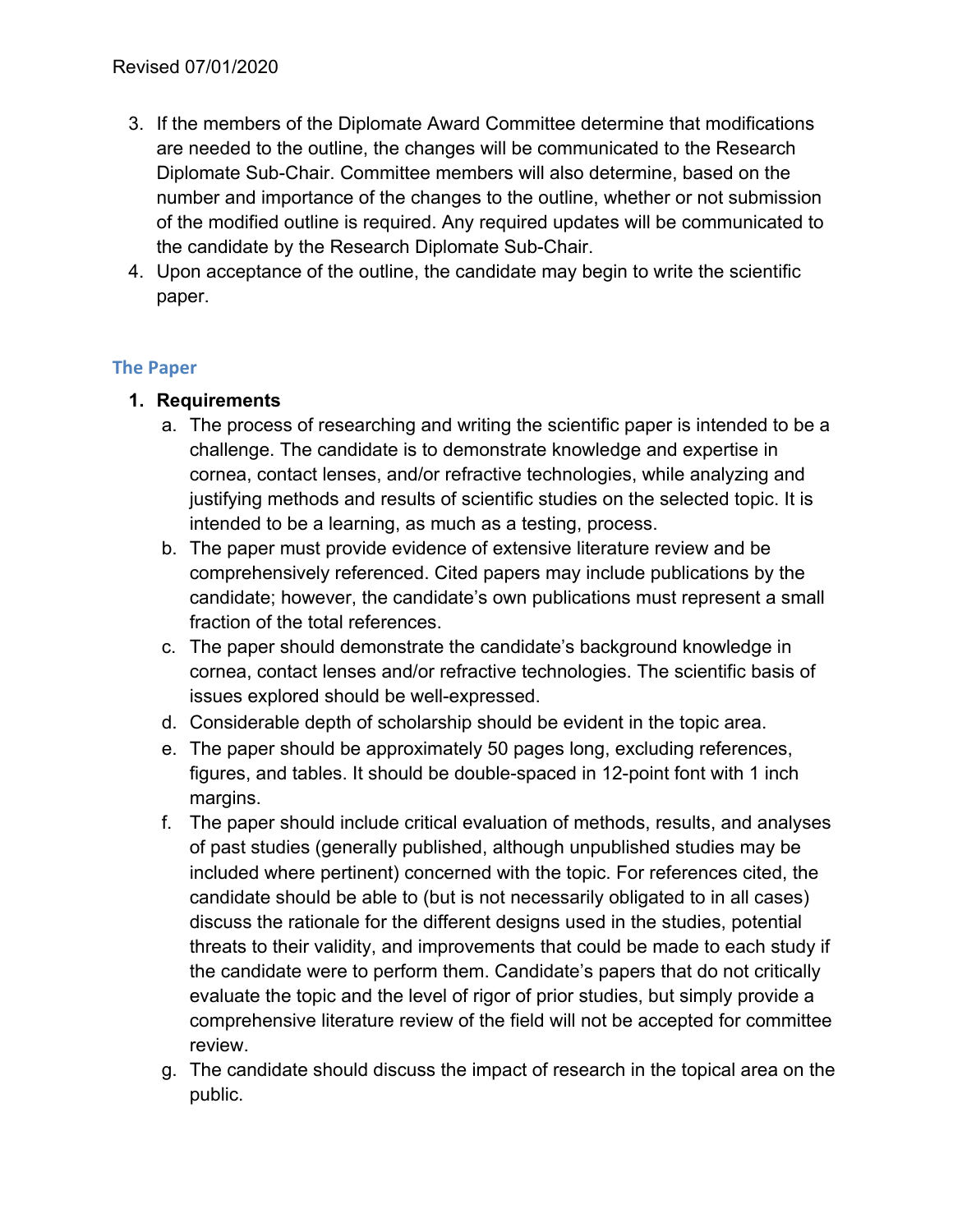- 3. If the members of the Diplomate Award Committee determine that modifications are needed to the outline, the changes will be communicated to the Research Diplomate Sub-Chair. Committee members will also determine, based on the number and importance of the changes to the outline, whether or not submission of the modified outline is required. Any required updates will be communicated to the candidate by the Research Diplomate Sub-Chair.
- 4. Upon acceptance of the outline, the candidate may begin to write the scientific paper.

#### **The Paper**

- **1. Requirements** 
	- a. The process of researching and writing the scientific paper is intended to be a challenge. The candidate is to demonstrate knowledge and expertise in cornea, contact lenses, and/or refractive technologies, while analyzing and justifying methods and results of scientific studies on the selected topic. It is intended to be a learning, as much as a testing, process.
	- b. The paper must provide evidence of extensive literature review and be comprehensively referenced. Cited papers may include publications by the candidate; however, the candidate's own publications must represent a small fraction of the total references.
	- c. The paper should demonstrate the candidate's background knowledge in cornea, contact lenses and/or refractive technologies. The scientific basis of issues explored should be well-expressed.
	- d. Considerable depth of scholarship should be evident in the topic area.
	- e. The paper should be approximately 50 pages long, excluding references, figures, and tables. It should be double-spaced in 12-point font with 1 inch margins.
	- f. The paper should include critical evaluation of methods, results, and analyses of past studies (generally published, although unpublished studies may be included where pertinent) concerned with the topic. For references cited, the candidate should be able to (but is not necessarily obligated to in all cases) discuss the rationale for the different designs used in the studies, potential threats to their validity, and improvements that could be made to each study if the candidate were to perform them. Candidate's papers that do not critically evaluate the topic and the level of rigor of prior studies, but simply provide a comprehensive literature review of the field will not be accepted for committee review.
	- g. The candidate should discuss the impact of research in the topical area on the public.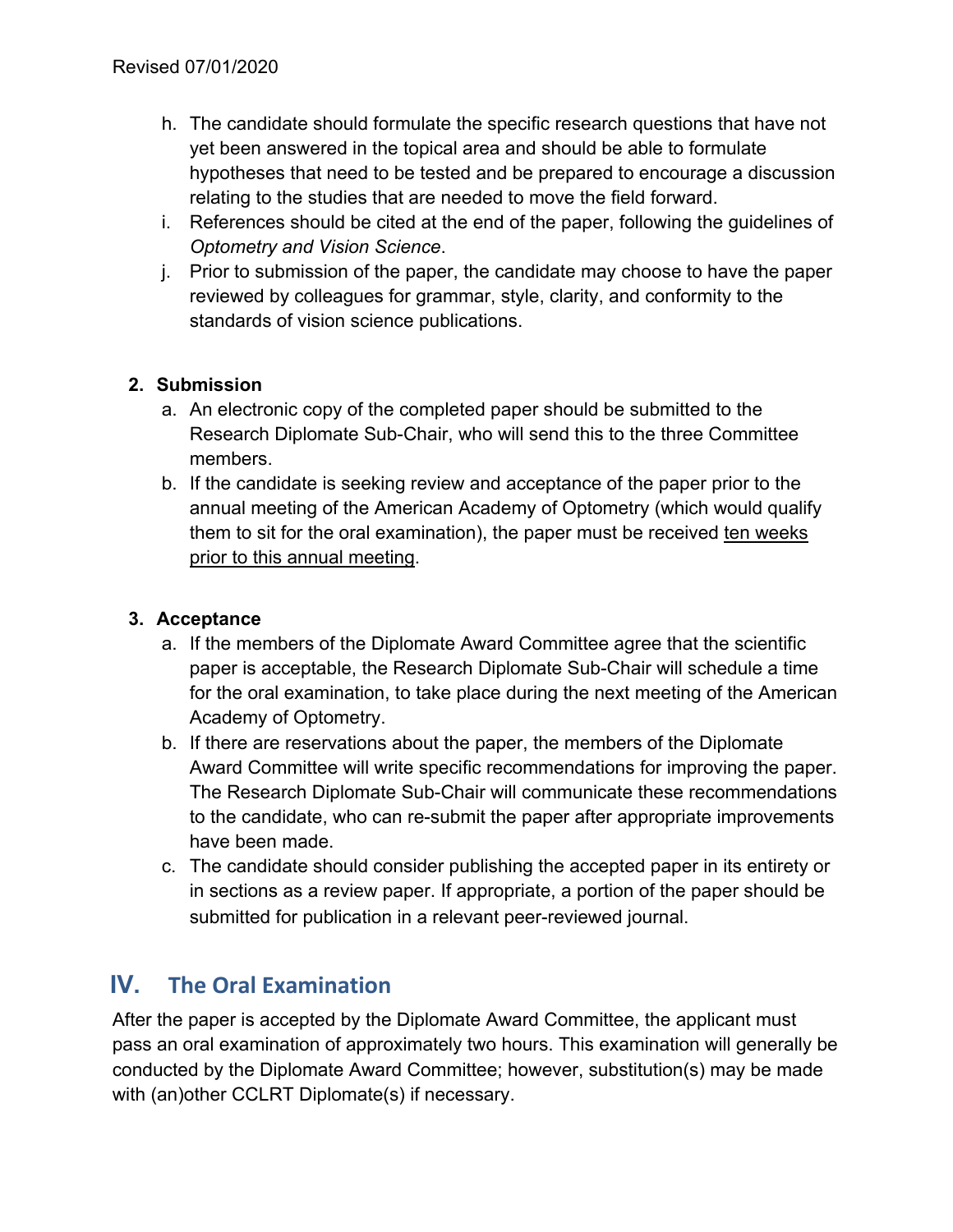- h. The candidate should formulate the specific research questions that have not yet been answered in the topical area and should be able to formulate hypotheses that need to be tested and be prepared to encourage a discussion relating to the studies that are needed to move the field forward.
- i. References should be cited at the end of the paper, following the guidelines of *Optometry and Vision Science*.
- j. Prior to submission of the paper, the candidate may choose to have the paper reviewed by colleagues for grammar, style, clarity, and conformity to the standards of vision science publications.

#### **2. Submission**

- a. An electronic copy of the completed paper should be submitted to the Research Diplomate Sub-Chair, who will send this to the three Committee members.
- b. If the candidate is seeking review and acceptance of the paper prior to the annual meeting of the American Academy of Optometry (which would qualify them to sit for the oral examination), the paper must be received ten weeks prior to this annual meeting.

#### **3. Acceptance**

- a. If the members of the Diplomate Award Committee agree that the scientific paper is acceptable, the Research Diplomate Sub-Chair will schedule a time for the oral examination, to take place during the next meeting of the American Academy of Optometry.
- b. If there are reservations about the paper, the members of the Diplomate Award Committee will write specific recommendations for improving the paper. The Research Diplomate Sub-Chair will communicate these recommendations to the candidate, who can re-submit the paper after appropriate improvements have been made.
- c. The candidate should consider publishing the accepted paper in its entirety or in sections as a review paper. If appropriate, a portion of the paper should be submitted for publication in a relevant peer-reviewed journal.

## **IV. The Oral Examination**

After the paper is accepted by the Diplomate Award Committee, the applicant must pass an oral examination of approximately two hours. This examination will generally be conducted by the Diplomate Award Committee; however, substitution(s) may be made with (an)other CCLRT Diplomate(s) if necessary.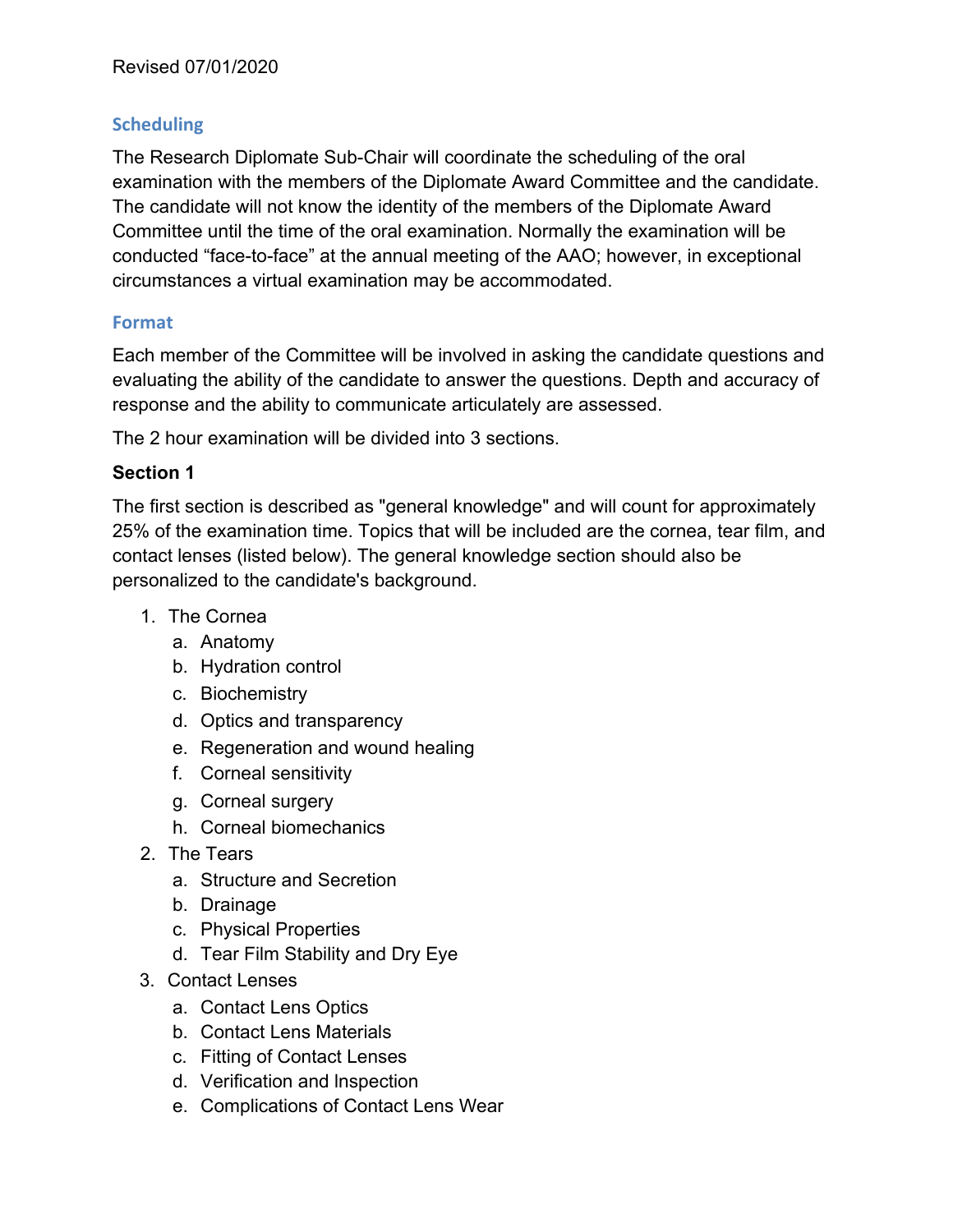#### **Scheduling**

The Research Diplomate Sub-Chair will coordinate the scheduling of the oral examination with the members of the Diplomate Award Committee and the candidate. The candidate will not know the identity of the members of the Diplomate Award Committee until the time of the oral examination. Normally the examination will be conducted "face-to-face" at the annual meeting of the AAO; however, in exceptional circumstances a virtual examination may be accommodated.

#### **Format**

Each member of the Committee will be involved in asking the candidate questions and evaluating the ability of the candidate to answer the questions. Depth and accuracy of response and the ability to communicate articulately are assessed.

The 2 hour examination will be divided into 3 sections.

#### **Section 1**

The first section is described as "general knowledge" and will count for approximately 25% of the examination time. Topics that will be included are the cornea, tear film, and contact lenses (listed below). The general knowledge section should also be personalized to the candidate's background.

- 1. The Cornea
	- a. Anatomy
	- b. Hydration control
	- c. Biochemistry
	- d. Optics and transparency
	- e. Regeneration and wound healing
	- f. Corneal sensitivity
	- g. Corneal surgery
	- h. Corneal biomechanics
- 2. The Tears
	- a. Structure and Secretion
	- b. Drainage
	- c. Physical Properties
	- d. Tear Film Stability and Dry Eye
- 3. Contact Lenses
	- a. Contact Lens Optics
	- b. Contact Lens Materials
	- c. Fitting of Contact Lenses
	- d. Verification and lnspection
	- e. Complications of Contact Lens Wear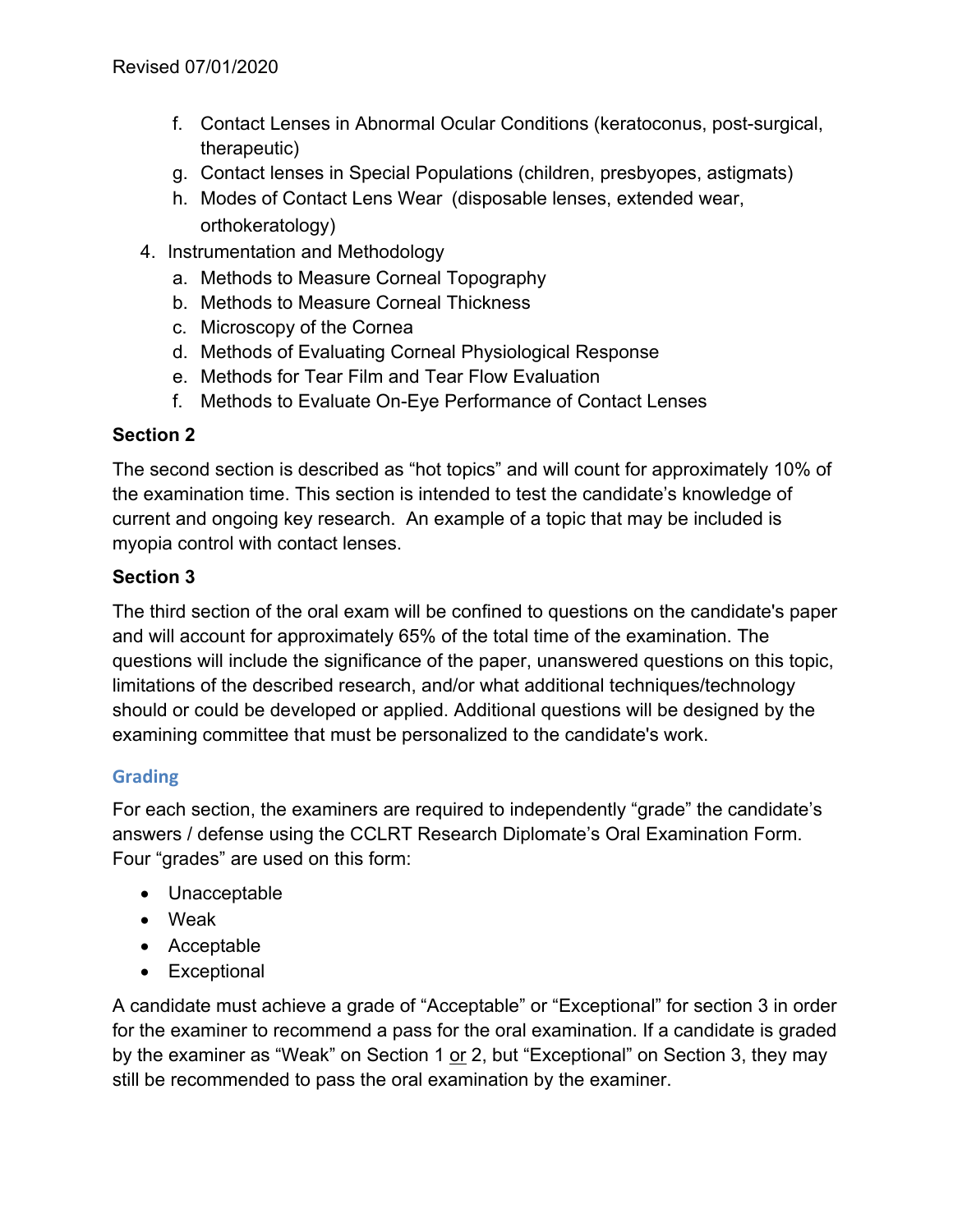- f. Contact Lenses in Abnormal Ocular Conditions (keratoconus, post-surgical, therapeutic)
- g. Contact lenses in Special Populations (children, presbyopes, astigmats)
- h. Modes of Contact Lens Wear (disposable lenses, extended wear, orthokeratology)
- 4. lnstrumentation and Methodology
	- a. Methods to Measure Corneal Topography
	- b. Methods to Measure Corneal Thickness
	- c. Microscopy of the Cornea
	- d. Methods of Evaluating Corneal Physiological Response
	- e. Methods for Tear Film and Tear Flow Evaluation
	- f. Methods to Evaluate On-Eye Performance of Contact Lenses

#### **Section 2**

The second section is described as "hot topics" and will count for approximately 10% of the examination time. This section is intended to test the candidate's knowledge of current and ongoing key research. An example of a topic that may be included is myopia control with contact lenses.

#### **Section 3**

The third section of the oral exam will be confined to questions on the candidate's paper and will account for approximately 65% of the total time of the examination. The questions will include the significance of the paper, unanswered questions on this topic, limitations of the described research, and/or what additional techniques/technology should or could be developed or applied. Additional questions will be designed by the examining committee that must be personalized to the candidate's work.

#### **Grading**

For each section, the examiners are required to independently "grade" the candidate's answers / defense using the CCLRT Research Diplomate's Oral Examination Form. Four "grades" are used on this form:

- Unacceptable
- Weak
- Acceptable
- Exceptional

A candidate must achieve a grade of "Acceptable" or "Exceptional" for section 3 in order for the examiner to recommend a pass for the oral examination. If a candidate is graded by the examiner as "Weak" on Section 1 or 2, but "Exceptional" on Section 3, they may still be recommended to pass the oral examination by the examiner.